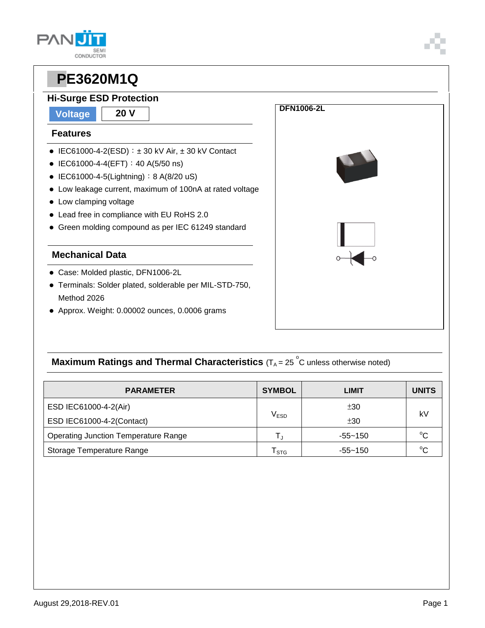### **PAN CONDUCTOR**

# **PPE3620M1Q**

### **Hi-Surge ESD Protection**

**Voltage 20 V**

#### **Features**

- $\bullet$  IEC61000-4-2(ESD):  $\pm$  30 kV Air,  $\pm$  30 kV Contact
- $\bullet$  IEC61000-4-4(EFT): 40 A(5/50 ns)
- $\bullet$  IEC61000-4-5(Lightning): 8 A(8/20 uS)
- Low leakage current, maximum of 100nA at rated voltage
- Low clamping voltage
- Lead free in compliance with EU RoHS 2.0
- Green molding compound as per IEC 61249 standard

#### **Mechanical Data**

- Case: Molded plastic, DFN1006-2L
- Terminals: Solder plated, solderable per MIL-STD-750, Method 2026
- Approx. Weight: 0.00002 ounces, 0.0006 grams



### **Maximum Ratings and Thermal Characteristics** (T<sub>A</sub> = 25<sup>°</sup>C unless otherwise noted)

| <b>PARAMETER</b>                            | <b>SYMBOL</b>    | LIMIT       | <b>UNITS</b> |  |
|---------------------------------------------|------------------|-------------|--------------|--|
| ESD IEC61000-4-2(Air)                       |                  | ±30         |              |  |
| ESD IEC61000-4-2(Contact)                   | V <sub>ESD</sub> | ±30         | kV           |  |
| <b>Operating Junction Temperature Range</b> |                  | $-55 - 150$ | $^{\circ}C$  |  |
| Storage Temperature Range                   | <b>STG</b>       | $-55 - 150$ | $^{\circ}C$  |  |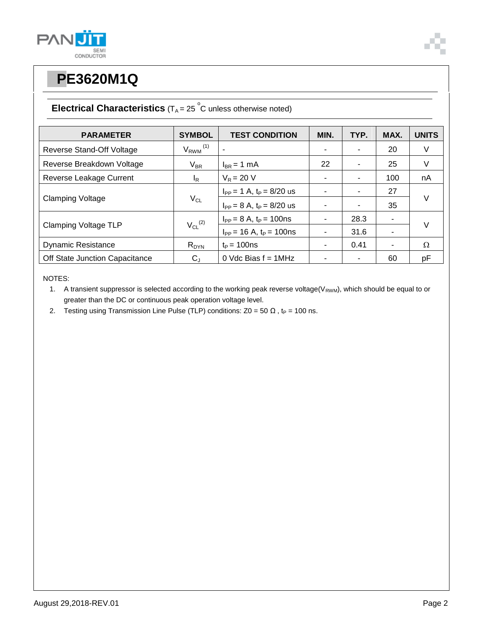



## **PPE3620M1Q**

### **Electrical Characteristics**  $(T_A = 25 \degree C$  unless otherwise noted)

| <b>PARAMETER</b>               | <b>SYMBOL</b>            | <b>TEST CONDITION</b>            | MIN. | TYP. | MAX. | <b>UNITS</b> |
|--------------------------------|--------------------------|----------------------------------|------|------|------|--------------|
| Reverse Stand-Off Voltage      | $V_{RWM}$ <sup>(1)</sup> |                                  |      |      | 20   | V            |
| Reverse Breakdown Voltage      | $V_{BR}$                 | $I_{BR}$ = 1 mA                  | 22   |      | 25   | V            |
| Reverse Leakage Current        | <sup>I</sup> R           | $V_R = 20 V$                     | ۰    | ۰    | 100  | nA           |
| <b>Clamping Voltage</b>        | $V_{CL}$                 | $I_{PP} = 1$ A, $t_P = 8/20$ us  |      |      | 27   | $\vee$       |
|                                |                          | $I_{PP} = 8 A$ , $t_P = 8/20$ us |      | ۰    | 35   |              |
| <b>Clamping Voltage TLP</b>    | $V_{CL}$ <sup>(2)</sup>  | $I_{PP} = 8 A$ , $t_P = 100$ ns  |      | 28.3 | ۰    | $\vee$       |
|                                |                          | $I_{PP}$ = 16 A, $t_P$ = 100ns   |      | 31.6 | ۰    |              |
| <b>Dynamic Resistance</b>      | $R_{DYN}$                | $t_{\rm P}$ = 100ns              |      | 0.41 | ۰    | Ω            |
| Off State Junction Capacitance | $C_{J}$                  | 0 Vdc Bias $f = 1$ MHz           |      |      | 60   | pF           |

NOTES:

1. A transient suppressor is selected according to the working peak reverse voltage( $V_{RWM}$ ), which should be equal to or greater than the DC or continuous peak operation voltage level.

2. Testing using Transmission Line Pulse (TLP) conditions:  $Z0 = 50 \Omega$ , t<sub>P</sub> = 100 ns.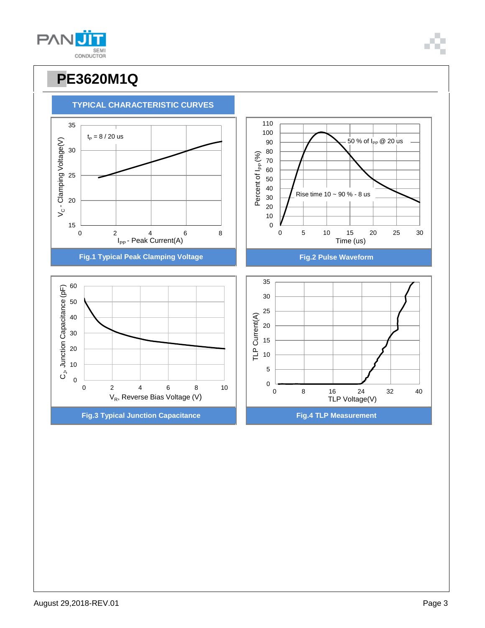

**TYPICAL CHARACTERISTIC CURVES**

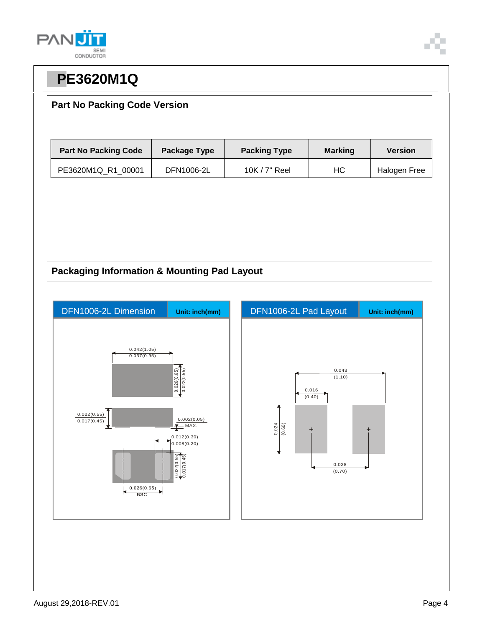



## **PPE3620M1Q**

#### **Part No Packing Code Version**

| <b>Part No Packing Code</b> | Package Type | <b>Packing Type</b> | <b>Marking</b> | <b>Version</b> |  |
|-----------------------------|--------------|---------------------|----------------|----------------|--|
| PE3620M1Q R1 00001          | DFN1006-2L   | 10K $/$ 7" Reel     | НC             | Halogen Free   |  |

#### **Packaging Information & Mounting Pad Layout**